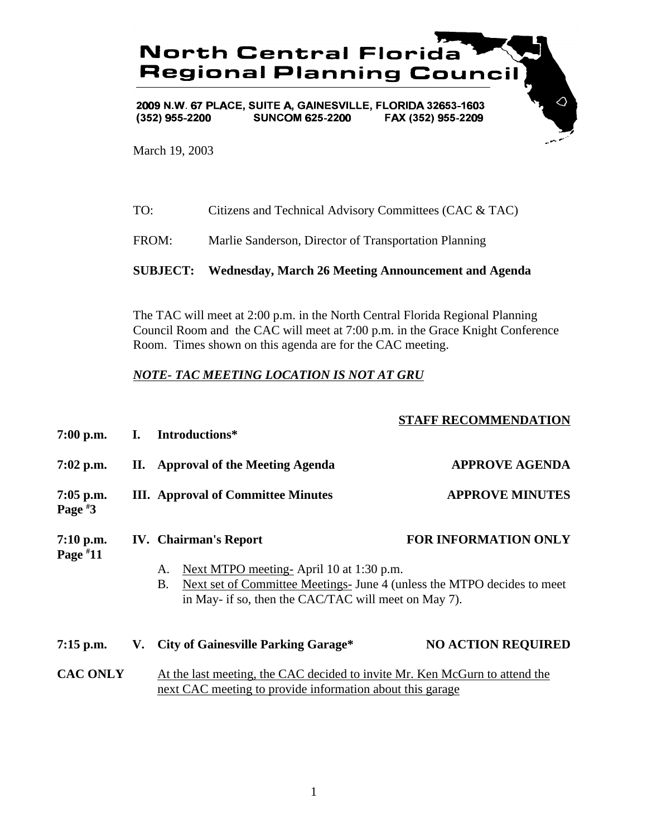

March 19, 2003

FROM: Marlie Sanderson, Director of Transportation Planning

## **SUBJECT: Wednesday, March 26 Meeting Announcement and Agenda**

The TAC will meet at 2:00 p.m. in the North Central Florida Regional Planning Council Room and the CAC will meet at 7:00 p.m. in the Grace Knight Conference Room. Times shown on this agenda are for the CAC meeting.

## *NOTE- TAC MEETING LOCATION IS NOT AT GRU*

| $7:00$ p.m.               | I. | Introductions*                                                                                                                                                                                                                | <b>STAFF RECOMMENDATION</b> |
|---------------------------|----|-------------------------------------------------------------------------------------------------------------------------------------------------------------------------------------------------------------------------------|-----------------------------|
| $7:02$ p.m.               |    | <b>II.</b> Approval of the Meeting Agenda                                                                                                                                                                                     | <b>APPROVE AGENDA</b>       |
| $7:05$ p.m.<br>Page $*3$  |    | <b>III.</b> Approval of Committee Minutes                                                                                                                                                                                     | <b>APPROVE MINUTES</b>      |
| $7:10$ p.m.<br>Page $*11$ |    | <b>IV.</b> Chairman's Report<br>Next MTPO meeting-April 10 at 1:30 p.m.<br>A.<br>Next set of Committee Meetings- June 4 (unless the MTPO decides to meet<br><b>B.</b><br>in May- if so, then the CAC/TAC will meet on May 7). | <b>FOR INFORMATION ONLY</b> |
| $7:15$ p.m.               |    | V. City of Gainesville Parking Garage*                                                                                                                                                                                        | <b>NO ACTION REQUIRED</b>   |
| <b>CAC ONLY</b>           |    | At the last meeting, the CAC decided to invite Mr. Ken McGurn to attend the<br>next CAC meeting to provide information about this garage                                                                                      |                             |